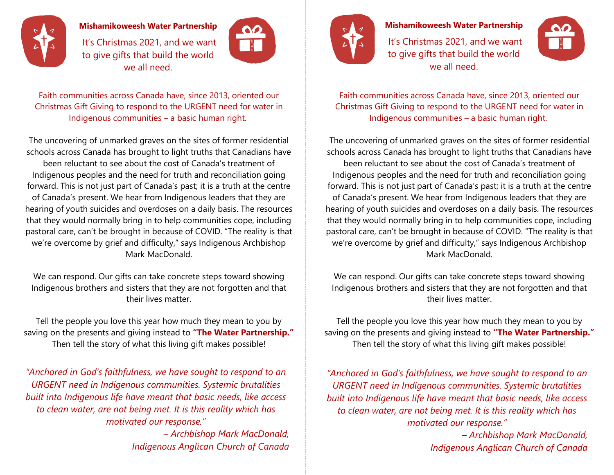

## **Mishamikoweesh Water Partnership**

It's Christmas 2021, and we want to give gifts that build the world we all need.



Faith communities across Canada have, since 2013, oriented our Christmas Gift Giving to respond to the URGENT need for water in Indigenous communities – a basic human right.

The uncovering of unmarked graves on the sites of former residential schools across Canada has brought to light truths that Canadians have been reluctant to see about the cost of Canada's treatment of Indigenous peoples and the need for truth and reconciliation going forward. This is not just part of Canada's past; it is a truth at the centre of Canada's present. We hear from Indigenous leaders that they are hearing of youth suicides and overdoses on a daily basis. The resources that they would normally bring in to help communities cope, including pastoral care, can't be brought in because of COVID. "The reality is that we're overcome by grief and difficulty," says Indigenous Archbishop Mark MacDonald.

We can respond. Our gifts can take concrete steps toward showing Indigenous brothers and sisters that they are not forgotten and that their lives matter.

Tell the people you love this year how much they mean to you by saving on the presents and giving instead to **"The Water Partnership."** Then tell the story of what this living gift makes possible!

*"Anchored in God's faithfulness, we have sought to respond to an URGENT need in Indigenous communities. Systemic brutalities built into Indigenous life have meant that basic needs, like access to clean water, are not being met. It is this reality which has motivated our response."*

> *– Archbishop Mark MacDonald, Indigenous Anglican Church of Canada*



## **Mishamikoweesh Water Partnership**

It's Christmas 2021, and we want to give gifts that build the world we all need.



Faith communities across Canada have, since 2013, oriented our Christmas Gift Giving to respond to the URGENT need for water in Indigenous communities – a basic human right.

The uncovering of unmarked graves on the sites of former residential schools across Canada has brought to light truths that Canadians have been reluctant to see about the cost of Canada's treatment of Indigenous peoples and the need for truth and reconciliation going forward. This is not just part of Canada's past; it is a truth at the centre of Canada's present. We hear from Indigenous leaders that they are hearing of youth suicides and overdoses on a daily basis. The resources that they would normally bring in to help communities cope, including pastoral care, can't be brought in because of COVID. "The reality is that we're overcome by grief and difficulty," says Indigenous Archbishop Mark MacDonald.

We can respond. Our gifts can take concrete steps toward showing Indigenous brothers and sisters that they are not forgotten and that their lives matter.

Tell the people you love this year how much they mean to you by saving on the presents and giving instead to **"The Water Partnership."** Then tell the story of what this living gift makes possible!

*"Anchored in God's faithfulness, we have sought to respond to an URGENT need in Indigenous communities. Systemic brutalities built into Indigenous life have meant that basic needs, like access to clean water, are not being met. It is this reality which has motivated our response."*

> *– Archbishop Mark MacDonald, Indigenous Anglican Church of Canada*